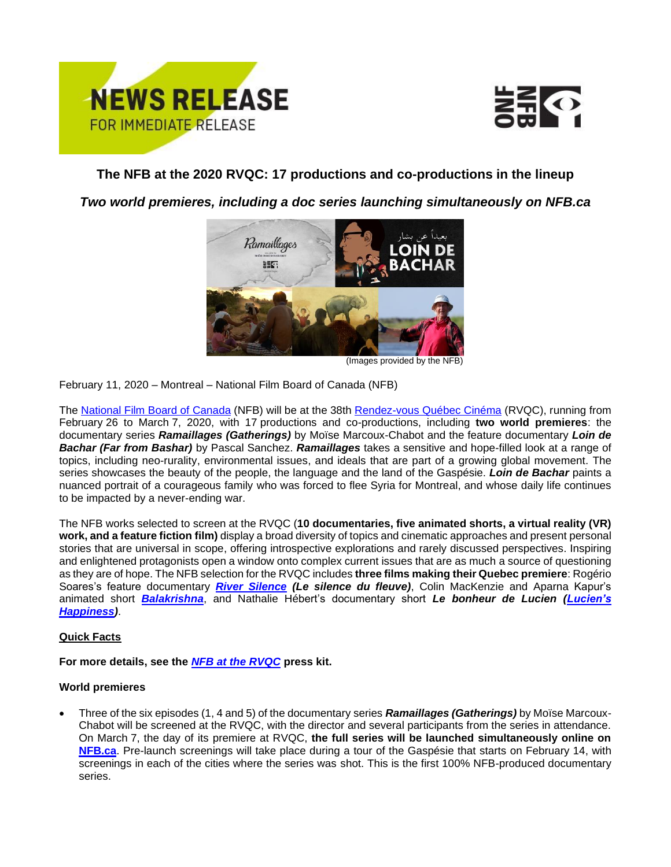



# **The NFB at the 2020 RVQC: 17 productions and co-productions in the lineup**

*Two world premieres, including a doc series launching simultaneously on NFB.ca*



(Images provided by the NFB)

February 11, 2020 – Montreal – National Film Board of Canada (NFB)

The [National Film Board of](https://www.nfb.ca/) Canada (NFB) will be at the 38th [Rendez-vous Québec Cinéma](https://rendez-vous.quebeccinema.ca/) (RVQC), running from February 26 to March 7, 2020, with 17 productions and co-productions, including **two world premieres**: the documentary series *Ramaillages (Gatherings)* by Moïse Marcoux-Chabot and the feature documentary *Loin de Bachar (Far from Bashar)* by Pascal Sanchez. *Ramaillages* takes a sensitive and hope-filled look at a range of topics, including neo-rurality, environmental issues, and ideals that are part of a growing global movement. The series showcases the beauty of the people, the language and the land of the Gaspésie. *Loin de Bachar* paints a nuanced portrait of a courageous family who was forced to flee Syria for Montreal, and whose daily life continues to be impacted by a never-ending war.

The NFB works selected to screen at the RVQC (**10 documentaries, five animated shorts, a virtual reality (VR) work, and a feature fiction film)** display a broad diversity of topics and cinematic approaches and present personal stories that are universal in scope, offering introspective explorations and rarely discussed perspectives. Inspiring and enlightened protagonists open a window onto complex current issues that are as much a source of questioning as they are of hope. The NFB selection for the RVQC includes **three films making their Quebec premiere**: Rogério Soares's feature documentary *[River Silence](https://vimeo.com/332518115) (Le silence du fleuve)*, Colin MacKenzie and Aparna Kapur's animated short *[Balakrishna](https://vimeo.com/353586796)*, and Nathalie Hébert's documentary short *Le bonheur de Lucien [\(Lucien's](https://www.nfb.ca/film/lucien-happiness/)  [Happiness\)](https://www.nfb.ca/film/lucien-happiness/)*.

## **Quick Facts**

**For more details, see the** *[NFB at the RVQC](https://espacemedia.onf.ca/epk/onf-aux-rvqc-2020/)* **press kit.**

## **World premieres**

• Three of the six episodes (1, 4 and 5) of the documentary series *Ramaillages (Gatherings)* by Moïse Marcoux-Chabot will be screened at the RVQC, with the director and several participants from the series in attendance. On March 7, the day of its premiere at RVQC, **the full series will be launched simultaneously online on [NFB.ca](https://www.nfb.ca/)**. Pre-launch screenings will take place during a tour of the Gaspésie that starts on February 14, with screenings in each of the cities where the series was shot. This is the first 100% NFB-produced documentary series.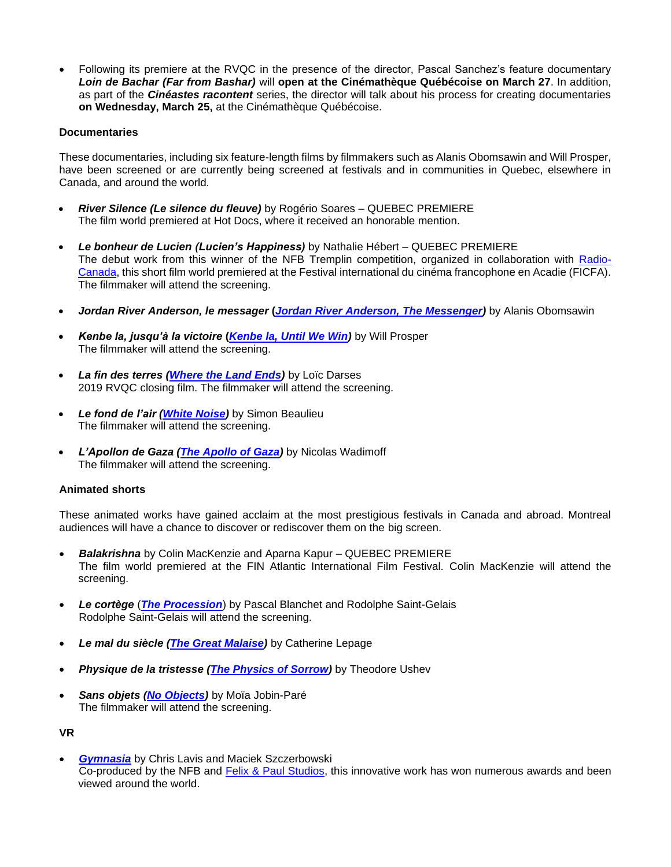• Following its premiere at the RVQC in the presence of the director, Pascal Sanchez's feature documentary *Loin de Bachar (Far from Bashar)* will **open at the Cinémathèque Québécoise on March 27**. In addition, as part of the *Cinéastes racontent* series, the director will talk about his process for creating documentaries **on Wednesday, March 25,** at the Cinémathèque Québécoise.

### **Documentaries**

These documentaries, including six feature-length films by filmmakers such as Alanis Obomsawin and Will Prosper, have been screened or are currently being screened at festivals and in communities in Quebec, elsewhere in Canada, and around the world.

- *River Silence (Le silence du fleuve)* by Rogério Soares QUEBEC PREMIERE The film world premiered at Hot Docs, where it received an honorable mention.
- *Le bonheur de Lucien (Lucien's Happiness)* by Nathalie Hébert QUEBEC PREMIERE The debut work from this winner of the NFB Tremplin competition, organized in collaboration with [Radio-](https://ici.radio-canada.ca/)[Canada,](https://ici.radio-canada.ca/) this short film world premiered at the Festival international du cinéma francophone en Acadie (FICFA). The filmmaker will attend the screening.
- *Jordan River Anderson, le messager* **(***[Jordan River Anderson, The Messenger\)](https://www.nfb.ca/film/jordan-river-anderson-the-messenger/)* by Alanis Obomsawin
- *Kenbe la, jusqu'à la victoire* **(***[Kenbe la, Until We Win\)](https://www.nfb.ca/film/kenbe-la-until-we-win/)* by Will Prosper The filmmaker will attend the screening.
- *La fin des terres [\(Where the Land Ends\)](https://www.nfb.ca/film/where-the-lands-ends/)* by Loïc Darses 2019 RVQC closing film. The filmmaker will attend the screening.
- *Le fond de l'air [\(White Noise\)](https://vimeo.com/367865718)* by Simon Beaulieu The filmmaker will attend the screening.
- *L'Apollon de Gaza [\(The Apollo of Gaza\)](https://www.nfb.ca/film/apollo-of-gaza/)* by Nicolas Wadimoff The filmmaker will attend the screening.

#### **Animated shorts**

These animated works have gained acclaim at the most prestigious festivals in Canada and abroad. Montreal audiences will have a chance to discover or rediscover them on the big screen.

- *Balakrishna* by Colin MacKenzie and Aparna Kapur QUEBEC PREMIERE The film world premiered at the FIN Atlantic International Film Festival. Colin MacKenzie will attend the screening.
- *Le cortège* (*[The Procession](https://www.nfb.ca/film/procession/)*) by Pascal Blanchet and Rodolphe Saint-Gelais Rodolphe Saint-Gelais will attend the screening.
- *Le mal du siècle [\(The Great Malaise\)](https://vimeo.com/374727640)* by Catherine Lepage
- *Physique de la tristesse [\(The Physics of Sorrow\)](https://www.nfb.ca/film/physics-of-sorrow/)* by Theodore Ushev
- *Sans objets [\(No Objects\)](https://vimeo.com/327779853)* by Moïa Jobin-Paré The filmmaker will attend the screening.

#### **VR**

• *[Gymnasia](https://www.nfb.ca/interactive/Gymnasia/)* by Chris Lavis and Maciek Szczerbowski Co-produced by the NFB and [Felix & Paul Studios,](https://www.felixandpaul.com/) this innovative work has won numerous awards and been viewed around the world.